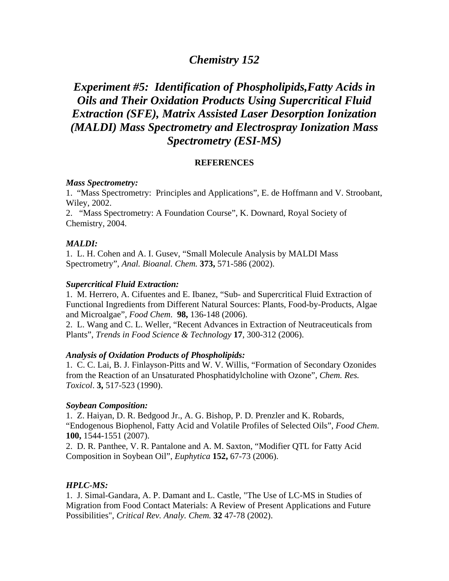## *Chemistry 152*

# *Experiment #5: Identification of Phospholipids,Fatty Acids in Oils and Their Oxidation Products Using Supercritical Fluid Extraction (SFE), Matrix Assisted Laser Desorption Ionization (MALDI) Mass Spectrometry and Electrospray Ionization Mass Spectrometry (ESI-MS)*

## **REFERENCES**

#### *Mass Spectrometry:*

1. "Mass Spectrometry: Principles and Applications", E. de Hoffmann and V. Stroobant, Wiley, 2002.

2. "Mass Spectrometry: A Foundation Course", K. Downard, Royal Society of Chemistry, 2004.

#### *MALDI:*

1. L. H. Cohen and A. I. Gusev, "Small Molecule Analysis by MALDI Mass Spectrometry", *Anal. Bioanal. Chem.* **373,** 571-586 (2002).

#### *Supercritical Fluid Extraction:*

1. M. Herrero, A. Cifuentes and E. Ibanez, "Sub- and Supercritical Fluid Extraction of Functional Ingredients from Different Natural Sources: Plants, Food-by-Products, Algae and Microalgae", *Food Chem*. **98,** 136-148 (2006).

2. L. Wang and C. L. Weller, "Recent Advances in Extraction of Neutraceuticals from Plants", *Trends in Food Science & Technology* **17**, 300-312 (2006).

#### *Analysis of Oxidation Products of Phospholipids:*

1. C. C. Lai, B. J. Finlayson-Pitts and W. V. Willis, "Formation of Secondary Ozonides from the Reaction of an Unsaturated Phosphatidylcholine with Ozone", *Chem. Res. Toxicol*. **3,** 517-523 (1990).

## *Soybean Composition:*

1. Z. Haiyan, D. R. Bedgood Jr., A. G. Bishop, P. D. Prenzler and K. Robards, "Endogenous Biophenol, Fatty Acid and Volatile Profiles of Selected Oils", *Food Chem*. **100,** 1544-1551 (2007).

2. D. R. Panthee, V. R. Pantalone and A. M. Saxton, "Modifier QTL for Fatty Acid Composition in Soybean Oil", *Euphytica* **152,** 67-73 (2006).

## *HPLC-MS:*

1. J. Simal-Gandara, A. P. Damant and L. Castle, "The Use of LC-MS in Studies of Migration from Food Contact Materials: A Review of Present Applications and Future Possibilities", *Critical Rev. Analy. Chem.* **32** 47-78 (2002).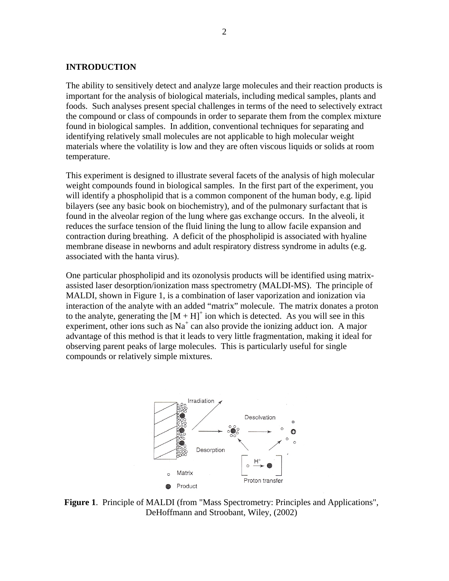#### **INTRODUCTION**

The ability to sensitively detect and analyze large molecules and their reaction products is important for the analysis of biological materials, including medical samples, plants and foods. Such analyses present special challenges in terms of the need to selectively extract the compound or class of compounds in order to separate them from the complex mixture found in biological samples. In addition, conventional techniques for separating and identifying relatively small molecules are not applicable to high molecular weight materials where the volatility is low and they are often viscous liquids or solids at room temperature.

This experiment is designed to illustrate several facets of the analysis of high molecular weight compounds found in biological samples. In the first part of the experiment, you will identify a phospholipid that is a common component of the human body, e.g. lipid bilayers (see any basic book on biochemistry), and of the pulmonary surfactant that is found in the alveolar region of the lung where gas exchange occurs. In the alveoli, it reduces the surface tension of the fluid lining the lung to allow facile expansion and contraction during breathing. A deficit of the phospholipid is associated with hyaline membrane disease in newborns and adult respiratory distress syndrome in adults (e.g. associated with the hanta virus).

One particular phospholipid and its ozonolysis products will be identified using matrixassisted laser desorption/ionization mass spectrometry (MALDI-MS). The principle of MALDI, shown in Figure 1, is a combination of laser vaporization and ionization via interaction of the analyte with an added "matrix" molecule. The matrix donates a proton to the analyte, generating the  $[M + H]$ <sup>+</sup> ion which is detected. As you will see in this experiment, other ions such as  $Na<sup>+</sup>$  can also provide the ionizing adduct ion. A major advantage of this method is that it leads to very little fragmentation, making it ideal for observing parent peaks of large molecules. This is particularly useful for single compounds or relatively simple mixtures.



**Figure 1**. Principle of MALDI (from "Mass Spectrometry: Principles and Applications", DeHoffmann and Stroobant, Wiley, (2002)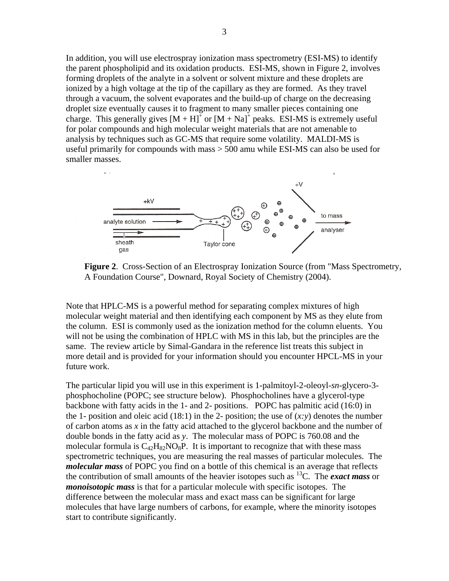In addition, you will use electrospray ionization mass spectrometry (ESI-MS) to identify the parent phospholipid and its oxidation products. ESI-MS, shown in Figure 2, involves forming droplets of the analyte in a solvent or solvent mixture and these droplets are ionized by a high voltage at the tip of the capillary as they are formed. As they travel through a vacuum, the solvent evaporates and the build-up of charge on the decreasing droplet size eventually causes it to fragment to many smaller pieces containing one charge. This generally gives  $[M + H]^+$  or  $[M + Na]^+$  peaks. ESI-MS is extremely useful for polar compounds and high molecular weight materials that are not amenable to analysis by techniques such as GC-MS that require some volatility. MALDI-MS is useful primarily for compounds with mass > 500 amu while ESI-MS can also be used for smaller masses.



**Figure 2**. Cross-Section of an Electrospray Ionization Source (from "Mass Spectrometry, A Foundation Course", Downard, Royal Society of Chemistry (2004).

Note that HPLC-MS is a powerful method for separating complex mixtures of high molecular weight material and then identifying each component by MS as they elute from the column. ESI is commonly used as the ionization method for the column eluents. You will not be using the combination of HPLC with MS in this lab, but the principles are the same. The review article by Simal-Gandara in the reference list treats this subject in more detail and is provided for your information should you encounter HPCL-MS in your future work.

The particular lipid you will use in this experiment is 1-palmitoyl-2-oleoyl-*sn*-glycero-3 phosphocholine (POPC; see structure below). Phosphocholines have a glycerol-type backbone with fatty acids in the 1- and 2- positions. POPC has palmitic acid (16:0) in the 1- position and oleic acid  $(18:1)$  in the 2- position; the use of  $(x: y)$  denotes the number of carbon atoms as *x* in the fatty acid attached to the glycerol backbone and the number of double bonds in the fatty acid as *y*. The molecular mass of POPC is 760.08 and the molecular formula is  $C_{42}H_{82}NO_8P$ . It is important to recognize that with these mass spectrometric techniques, you are measuring the real masses of particular molecules. The *molecular mass* of POPC you find on a bottle of this chemical is an average that reflects the contribution of small amounts of the heavier isotopes such as 13C. The *exact mass* or *monoisotopic mass* is that for a particular molecule with specific isotopes. The difference between the molecular mass and exact mass can be significant for large molecules that have large numbers of carbons, for example, where the minority isotopes start to contribute significantly.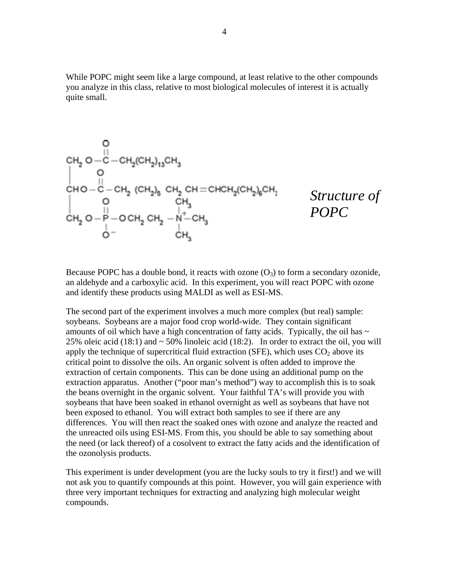While POPC might seem like a large compound, at least relative to the other compounds you analyze in this class, relative to most biological molecules of interest it is actually quite small.

$$
\begin{array}{l} O\\ \text{CH}_2 O-C-CH_2(\text{CH}_2)_{13}\text{CH}_3 \\ O\\ \text{CH}_O-C-CH_2\text{ (CH}_2)_{5}\text{ CH}_2\text{ CH}=CHCH_2(\text{CH}_2)_{6}\text{CH}_3 \\ O\\ \text{CH}_2 O-P-OCH_2\text{ CH}_2-\underset{CH_2}{\overset{\text{II}}{N}-CH_3} \\ O- \underset{CH_3}{\overset{\text{III}}{N}-CH_3} \end{array} \qquad \begin{array}{l} Structure\hspace{1em}\\ \text{Structure of}\\ \text{POPC} \end{array}
$$

Because POPC has a double bond, it reacts with ozone  $(O_3)$  to form a secondary ozonide, an aldehyde and a carboxylic acid. In this experiment, you will react POPC with ozone and identify these products using MALDI as well as ESI-MS.

The second part of the experiment involves a much more complex (but real) sample: soybeans. Soybeans are a major food crop world-wide. They contain significant amounts of oil which have a high concentration of fatty acids. Typically, the oil has  $\sim$ 25% oleic acid (18:1) and  $\sim$  50% linoleic acid (18:2). In order to extract the oil, you will apply the technique of supercritical fluid extraction (SFE), which uses  $CO<sub>2</sub>$  above its critical point to dissolve the oils. An organic solvent is often added to improve the extraction of certain components. This can be done using an additional pump on the extraction apparatus. Another ("poor man's method") way to accomplish this is to soak the beans overnight in the organic solvent. Your faithful TA's will provide you with soybeans that have been soaked in ethanol overnight as well as soybeans that have not been exposed to ethanol. You will extract both samples to see if there are any differences. You will then react the soaked ones with ozone and analyze the reacted and the unreacted oils using ESI-MS. From this, you should be able to say something about the need (or lack thereof) of a cosolvent to extract the fatty acids and the identification of the ozonolysis products.

This experiment is under development (you are the lucky souls to try it first!) and we will not ask you to quantify compounds at this point. However, you will gain experience with three very important techniques for extracting and analyzing high molecular weight compounds.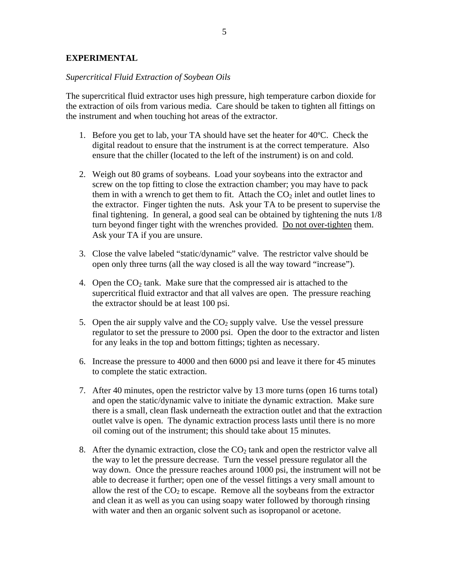## **EXPERIMENTAL**

#### *Supercritical Fluid Extraction of Soybean Oils*

The supercritical fluid extractor uses high pressure, high temperature carbon dioxide for the extraction of oils from various media. Care should be taken to tighten all fittings on the instrument and when touching hot areas of the extractor.

- 1. Before you get to lab, your TA should have set the heater for 40ºC. Check the digital readout to ensure that the instrument is at the correct temperature. Also ensure that the chiller (located to the left of the instrument) is on and cold.
- 2. Weigh out 80 grams of soybeans. Load your soybeans into the extractor and screw on the top fitting to close the extraction chamber; you may have to pack them in with a wrench to get them to fit. Attach the  $CO<sub>2</sub>$  inlet and outlet lines to the extractor. Finger tighten the nuts. Ask your TA to be present to supervise the final tightening. In general, a good seal can be obtained by tightening the nuts 1/8 turn beyond finger tight with the wrenches provided. Do not over-tighten them. Ask your TA if you are unsure.
- 3. Close the valve labeled "static/dynamic" valve. The restrictor valve should be open only three turns (all the way closed is all the way toward "increase").
- 4. Open the  $CO<sub>2</sub>$  tank. Make sure that the compressed air is attached to the supercritical fluid extractor and that all valves are open. The pressure reaching the extractor should be at least 100 psi.
- 5. Open the air supply valve and the  $CO<sub>2</sub>$  supply valve. Use the vessel pressure regulator to set the pressure to 2000 psi. Open the door to the extractor and listen for any leaks in the top and bottom fittings; tighten as necessary.
- 6. Increase the pressure to 4000 and then 6000 psi and leave it there for 45 minutes to complete the static extraction.
- 7. After 40 minutes, open the restrictor valve by 13 more turns (open 16 turns total) and open the static/dynamic valve to initiate the dynamic extraction. Make sure there is a small, clean flask underneath the extraction outlet and that the extraction outlet valve is open. The dynamic extraction process lasts until there is no more oil coming out of the instrument; this should take about 15 minutes.
- 8. After the dynamic extraction, close the  $CO<sub>2</sub>$  tank and open the restrictor valve all the way to let the pressure decrease. Turn the vessel pressure regulator all the way down. Once the pressure reaches around 1000 psi, the instrument will not be able to decrease it further; open one of the vessel fittings a very small amount to allow the rest of the  $CO<sub>2</sub>$  to escape. Remove all the soybeans from the extractor and clean it as well as you can using soapy water followed by thorough rinsing with water and then an organic solvent such as isopropanol or acetone.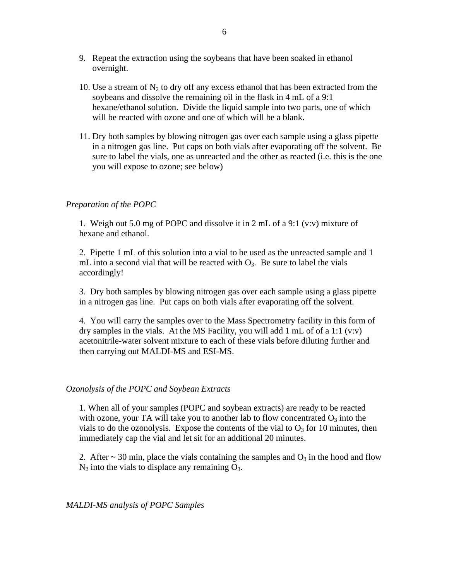- 9. Repeat the extraction using the soybeans that have been soaked in ethanol overnight.
- 10. Use a stream of  $N_2$  to dry off any excess ethanol that has been extracted from the soybeans and dissolve the remaining oil in the flask in 4 mL of a 9:1 hexane/ethanol solution. Divide the liquid sample into two parts, one of which will be reacted with ozone and one of which will be a blank.
- 11. Dry both samples by blowing nitrogen gas over each sample using a glass pipette in a nitrogen gas line. Put caps on both vials after evaporating off the solvent. Be sure to label the vials, one as unreacted and the other as reacted (i.e. this is the one you will expose to ozone; see below)

## *Preparation of the POPC*

1. Weigh out 5.0 mg of POPC and dissolve it in 2 mL of a 9:1 (v:v) mixture of hexane and ethanol.

2. Pipette 1 mL of this solution into a vial to be used as the unreacted sample and 1 mL into a second vial that will be reacted with  $O_3$ . Be sure to label the vials accordingly!

3. Dry both samples by blowing nitrogen gas over each sample using a glass pipette in a nitrogen gas line. Put caps on both vials after evaporating off the solvent.

4. You will carry the samples over to the Mass Spectrometry facility in this form of dry samples in the vials. At the MS Facility, you will add 1 mL of of a 1:1 (v:v) acetonitrile-water solvent mixture to each of these vials before diluting further and then carrying out MALDI-MS and ESI-MS.

## *Ozonolysis of the POPC and Soybean Extracts*

1. When all of your samples (POPC and soybean extracts) are ready to be reacted with ozone, your TA will take you to another lab to flow concentrated  $O_3$  into the vials to do the ozonolysis. Expose the contents of the vial to  $O_3$  for 10 minutes, then immediately cap the vial and let sit for an additional 20 minutes.

2. After  $\sim$  30 min, place the vials containing the samples and  $O_3$  in the hood and flow  $N_2$  into the vials to displace any remaining  $O_3$ .

*MALDI-MS analysis of POPC Samples*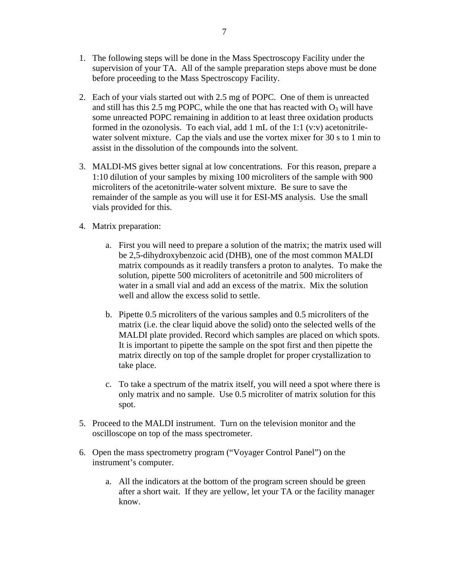- 1. The following steps will be done in the Mass Spectroscopy Facility under the supervision of your TA. All of the sample preparation steps above must be done before proceeding to the Mass Spectroscopy Facility.
- 2. Each of your vials started out with 2.5 mg of POPC. One of them is unreacted and still has this 2.5 mg POPC, while the one that has reacted with  $O_3$  will have some unreacted POPC remaining in addition to at least three oxidation products formed in the ozonolysis. To each vial, add 1 mL of the 1:1 (v:v) acetonitrilewater solvent mixture. Cap the vials and use the vortex mixer for 30 s to 1 min to assist in the dissolution of the compounds into the solvent.
- 3. MALDI-MS gives better signal at low concentrations. For this reason, prepare a 1:10 dilution of your samples by mixing 100 microliters of the sample with 900 microliters of the acetonitrile-water solvent mixture. Be sure to save the remainder of the sample as you will use it for ESI-MS analysis. Use the small vials provided for this.
- 4. Matrix preparation:
	- a. First you will need to prepare a solution of the matrix; the matrix used will be 2,5-dihydroxybenzoic acid (DHB), one of the most common MALDI matrix compounds as it readily transfers a proton to analytes. To make the solution, pipette 500 microliters of acetonitrile and 500 microliters of water in a small vial and add an excess of the matrix. Mix the solution well and allow the excess solid to settle.
	- b. Pipette 0.5 microliters of the various samples and 0.5 microliters of the matrix (i.e. the clear liquid above the solid) onto the selected wells of the MALDI plate provided. Record which samples are placed on which spots. It is important to pipette the sample on the spot first and then pipette the matrix directly on top of the sample droplet for proper crystallization to take place.
	- c. To take a spectrum of the matrix itself, you will need a spot where there is only matrix and no sample. Use 0.5 microliter of matrix solution for this spot.
- 5. Proceed to the MALDI instrument. Turn on the television monitor and the oscilloscope on top of the mass spectrometer.
- 6. Open the mass spectrometry program ("Voyager Control Panel") on the instrument's computer.
	- a. All the indicators at the bottom of the program screen should be green after a short wait. If they are yellow, let your TA or the facility manager know.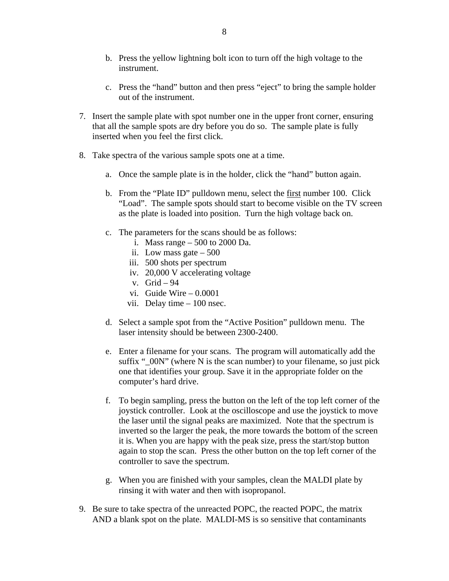- b. Press the yellow lightning bolt icon to turn off the high voltage to the instrument.
- c. Press the "hand" button and then press "eject" to bring the sample holder out of the instrument.
- 7. Insert the sample plate with spot number one in the upper front corner, ensuring that all the sample spots are dry before you do so. The sample plate is fully inserted when you feel the first click.
- 8. Take spectra of the various sample spots one at a time.
	- a. Once the sample plate is in the holder, click the "hand" button again.
	- b. From the "Plate ID" pulldown menu, select the first number 100. Click "Load". The sample spots should start to become visible on the TV screen as the plate is loaded into position. Turn the high voltage back on.
	- c. The parameters for the scans should be as follows:
		- i. Mass range 500 to 2000 Da.
		- ii. Low mass gate 500
		- iii. 500 shots per spectrum
		- iv. 20,000 V accelerating voltage
		- v. Grid 94
		- vi. Guide Wire 0.0001
		- vii. Delay time 100 nsec.
	- d. Select a sample spot from the "Active Position" pulldown menu. The laser intensity should be between 2300-2400.
	- e. Enter a filename for your scans. The program will automatically add the suffix " $00N$ " (where N is the scan number) to your filename, so just pick one that identifies your group. Save it in the appropriate folder on the computer's hard drive.
	- f. To begin sampling, press the button on the left of the top left corner of the joystick controller. Look at the oscilloscope and use the joystick to move the laser until the signal peaks are maximized. Note that the spectrum is inverted so the larger the peak, the more towards the bottom of the screen it is. When you are happy with the peak size, press the start/stop button again to stop the scan. Press the other button on the top left corner of the controller to save the spectrum.
	- g. When you are finished with your samples, clean the MALDI plate by rinsing it with water and then with isopropanol.
- 9. Be sure to take spectra of the unreacted POPC, the reacted POPC, the matrix AND a blank spot on the plate. MALDI-MS is so sensitive that contaminants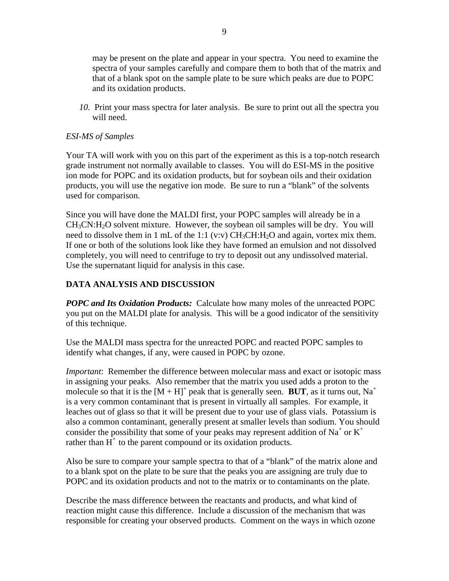may be present on the plate and appear in your spectra. You need to examine the spectra of your samples carefully and compare them to both that of the matrix and that of a blank spot on the sample plate to be sure which peaks are due to POPC and its oxidation products.

*10.* Print your mass spectra for later analysis. Be sure to print out all the spectra you will need.

## *ESI-MS of Samples*

Your TA will work with you on this part of the experiment as this is a top-notch research grade instrument not normally available to classes. You will do ESI-MS in the positive ion mode for POPC and its oxidation products, but for soybean oils and their oxidation products, you will use the negative ion mode. Be sure to run a "blank" of the solvents used for comparison.

Since you will have done the MALDI first, your POPC samples will already be in a  $CH<sub>3</sub>CN:H<sub>2</sub>O$  solvent mixture. However, the soybean oil samples will be dry. You will need to dissolve them in 1 mL of the 1:1 (v:v)  $CH_3CH:H_2O$  and again, vortex mix them. If one or both of the solutions look like they have formed an emulsion and not dissolved completely, you will need to centrifuge to try to deposit out any undissolved material. Use the supernatant liquid for analysis in this case.

## **DATA ANALYSIS AND DISCUSSION**

*POPC and Its Oxidation Products:* Calculate how many moles of the unreacted POPC you put on the MALDI plate for analysis. This will be a good indicator of the sensitivity of this technique.

Use the MALDI mass spectra for the unreacted POPC and reacted POPC samples to identify what changes, if any, were caused in POPC by ozone.

*Important*: Remember the difference between molecular mass and exact or isotopic mass in assigning your peaks. Also remember that the matrix you used adds a proton to the molecule so that it is the  $[M + H]^+$  peak that is generally seen. **BUT**, as it turns out, Na<sup>+</sup> is a very common contaminant that is present in virtually all samples. For example, it leaches out of glass so that it will be present due to your use of glass vials. Potassium is also a common contaminant, generally present at smaller levels than sodium. You should consider the possibility that some of your peaks may represent addition of Na<sup>+</sup> or  $K^+$ rather than  $H^+$  to the parent compound or its oxidation products.

Also be sure to compare your sample spectra to that of a "blank" of the matrix alone and to a blank spot on the plate to be sure that the peaks you are assigning are truly due to POPC and its oxidation products and not to the matrix or to contaminants on the plate.

Describe the mass difference between the reactants and products, and what kind of reaction might cause this difference. Include a discussion of the mechanism that was responsible for creating your observed products. Comment on the ways in which ozone